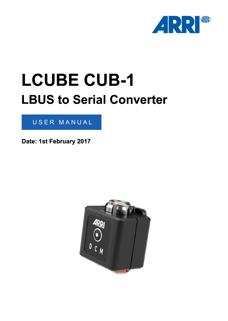

# **LCUBE CUB-1 LBUS to Serial Converter**

#### USER MANUAL

**Date: 1st February 2017**

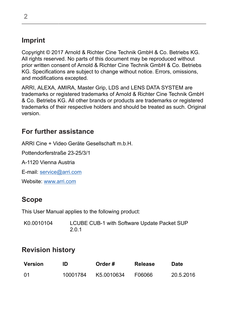#### **Imprint**

Copyright © 2017 Arnold & Richter Cine Technik GmbH & Co. Betriebs KG. All rights reserved. No parts of this document may be reproduced without prior written consent of Arnold & Richter Cine Technik GmbH & Co. Betriebs KG. Specifications are subject to change without notice. Errors, omissions, and modifications excepted.

ARRI, ALEXA, AMIRA, Master Grip, LDS and LENS DATA SYSTEM are trademarks or registered trademarks of Arnold & Richter Cine Technik GmbH & Co. Betriebs KG. All other brands or products are trademarks or registered trademarks of their respective holders and should be treated as such. Original version.

#### **For further assistance**

ARRI Cine + Video Geräte Gesellschaft m.b.H.

Pottendorferstraße 23-25/3/1

A-1120 Vienna Austria

E-mail: [service@arri.com](mailto:service@arri.com)

Website: [www.arri.com](http://www.arri.com)

#### **Scope**

This User Manual applies to the following product:

| K0.0010104 | LCUBE CUB-1 with Software Update Packet SUP |
|------------|---------------------------------------------|
|            | 2.0.1                                       |

#### **Revision history**

| <b>Version</b> | ID       | Order#     | Release | Date      |
|----------------|----------|------------|---------|-----------|
| 01             | 10001784 | K5.0010634 | F06066  | 20.5.2016 |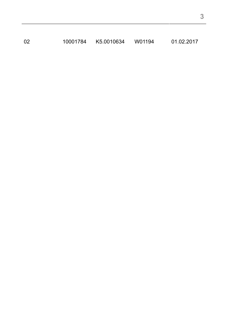10001784 K5.0010634 W01194 01.02.2017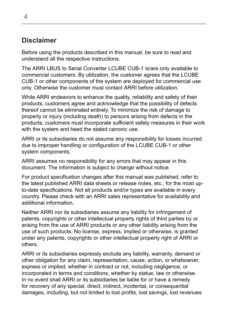#### **Disclaimer**

Before using the products described in this manual, be sure to read and understand all the respective instructions.

The ARRI LBUS to Serial Converter LCUBE CUB-1 is/are only available to commercial customers. By utilization, the customer agrees that the LCUBE CUB-1 or other components of the system are deployed for commercial use only. Otherwise the customer must contact ARRI before utilization.

While ARRI endeavors to enhance the quality, reliability and safety of their products, customers agree and acknowledge that the possibility of defects thereof cannot be eliminated entirely. To minimize the risk of damage to property or injury (including death) to persons arising from defects in the products, customers must incorporate sufficient safety measures in their work with the system and heed the stated canonic use.

ARRI or its subsidiaries do not assume any responsibility for losses incurred due to improper handling or configuration of the LCUBE CUB-1 or other system components.

ARRI assumes no responsibility for any errors that may appear in this document. The information is subject to change without notice.

For product specification changes after this manual was published, refer to the latest published ARRI data sheets or release notes, etc., for the most upto-date specifications. Not all products and/or types are available in every country. Please check with an ARRI sales representative for availability and additional information.

Neither ARRI nor its subsidiaries assume any liability for infringement of patents, copyrights or other intellectual property rights of third parties by or arising from the use of ARRI products or any other liability arising from the use of such products. No license, express, implied or otherwise, is granted under any patents, copyrights or other intellectual property right of ARRI or others.

ARRI or its subsidiaries expressly exclude any liability, warranty, demand or other obligation for any claim, representation, cause, action, or whatsoever, express or implied, whether in contract or not, including negligence, or incorporated in terms and conditions, whether by statue, law or otherwise. In no event shall ARRI or its subsidiaries be liable for or have a remedy for recovery of any special, direct, indirect, incidental, or consequential damages, including, but not limited to lost profits, lost savings, lost revenues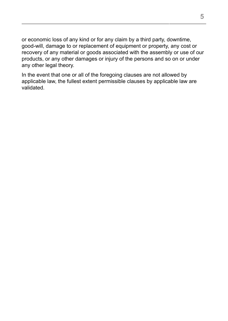or economic loss of any kind or for any claim by a third party, downtime, good-will, damage to or replacement of equipment or property, any cost or recovery of any material or goods associated with the assembly or use of our products, or any other damages or injury of the persons and so on or under any other legal theory.

In the event that one or all of the foregoing clauses are not allowed by applicable law, the fullest extent permissible clauses by applicable law are validated.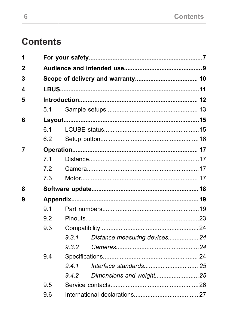# **Contents**

| 1              |     |       |                               |  |
|----------------|-----|-------|-------------------------------|--|
| $\overline{2}$ |     |       |                               |  |
| 3              |     |       |                               |  |
| 4              |     |       |                               |  |
| 5              |     |       |                               |  |
|                | 51  |       |                               |  |
| 6              |     |       |                               |  |
|                | 61  |       |                               |  |
|                | 6.2 |       |                               |  |
| 7              |     |       |                               |  |
|                | 71  |       |                               |  |
|                | 72  |       |                               |  |
|                | 7.3 |       |                               |  |
| 8              |     |       |                               |  |
| 9              |     |       |                               |  |
|                | 91  |       |                               |  |
|                | 92  |       |                               |  |
|                | 9.3 |       |                               |  |
|                |     | 931   | Distance measuring devices 24 |  |
|                |     | 9.3.2 |                               |  |
|                | 9.4 |       |                               |  |
|                |     | 941   |                               |  |
|                |     | 9.4.2 | Dimensions and weight25       |  |
|                | 9.5 |       |                               |  |
|                | 9.6 |       |                               |  |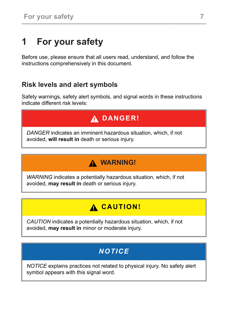# <span id="page-6-0"></span>**1 For your safety**

Before use, please ensure that all users read, understand, and follow the instructions comprehensively in this document.

#### **Risk levels and alert symbols**

Safety warnings, safety alert symbols, and signal words in these instructions indicate different risk levels:

# **DANGER!**

*DANGER* indicates an imminent hazardous situation, which, if not avoided, **will result in** death or serious injury.

# **WARNING!**

*WARNING* indicates a potentially hazardous situation, which, if not avoided, **may result in** death or serious injury.

### **A CAUTION!**

*CAUTION* indicates a potentially hazardous situation, which, if not avoided, **may result in** minor or moderate injury.

### *NOTICE*

*NOTICE* explains practices not related to physical injury. No safety alert symbol appears with this signal word.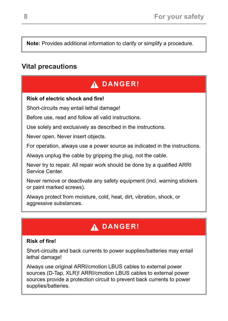**Note:** Provides additional information to clarify or simplify a procedure.

#### **Vital precautions**

### **DANGER!**

#### **Risk of electric shock and fire!**

Short-circuits may entail lethal damage!

Before use, read and follow all valid instructions.

Use solely and exclusively as described in the instructions.

Never open. Never insert objects.

For operation, always use a power source as indicated in the instructions.

Always unplug the cable by gripping the plug, not the cable.

Never try to repair. All repair work should be done by a qualified ARRI Service Center.

Never remove or deactivate any safety equipment (incl. warning stickers or paint marked screws).

Always protect from moisture, cold, heat, dirt, vibration, shock, or aggressive substances.

# **DANGER!**

#### **Risk of fire!**

Short-circuits and back currents to power supplies/batteries may entail lethal damage!

Always use original ARRI/cmotion LBUS cables to external power sources (D-Tap, XLR)! ARRI/cmotion LBUS cables to external power sources provide a protection circuit to prevent back currents to power supplies/batteries.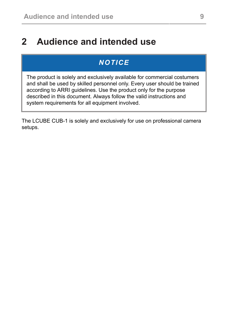# <span id="page-8-0"></span>**2 Audience and intended use**

#### *NOTICE*

The product is solely and exclusively available for commercial costumers and shall be used by skilled personnel only. Every user should be trained according to ARRI guidelines. Use the product only for the purpose described in this document. Always follow the valid instructions and system requirements for all equipment involved.

The LCUBE CUB-1 is solely and exclusively for use on professional camera setups.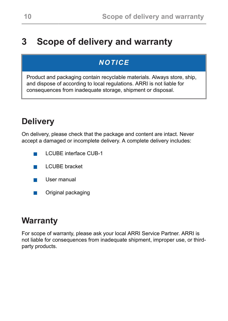# <span id="page-9-0"></span>**3 Scope of delivery and warranty**

#### *NOTICE*

Product and packaging contain recyclable materials. Always store, ship, and dispose of according to local regulations. ARRI is not liable for consequences from inadequate storage, shipment or disposal.

# **Delivery**

On delivery, please check that the package and content are intact. Never accept a damaged or incomplete delivery. A complete delivery includes:

- LCUBE interface CUB-1 п
- LCUBE bracket **Tale**
- User manual **The Co**
- Original packaging **Tale**

#### **Warranty**

For scope of warranty, please ask your local ARRI Service Partner. ARRI is not liable for consequences from inadequate shipment, improper use, or thirdparty products.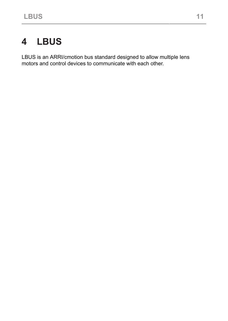# <span id="page-10-0"></span>**4 LBUS**

LBUS is an ARRI/cmotion bus standard designed to allow multiple lens motors and control devices to communicate with each other.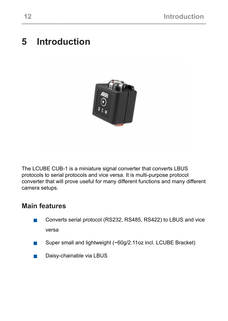# <span id="page-11-0"></span>**5 Introduction**



The LCUBE CUB-1 is a miniature signal converter that converts LBUS protocols to serial protocols and vice versa. It is multi-purpose protocol converter that will prove useful for many different functions and many different camera setups.

#### **Main features**

- Converts serial protocol (RS232, RS485, RS422) to LBUS and vice  $\mathcal{L}_{\mathcal{A}}$ versa
- $\mathcal{L}_{\mathcal{A}}$ Super small and lightweight (~60g/2.11oz incl. LCUBE Bracket)
- Daisy-chainable via LBUS $\mathcal{L}_{\mathcal{A}}$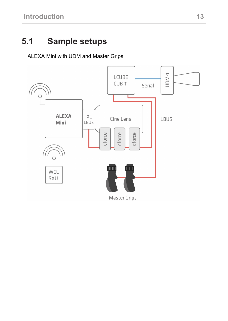# <span id="page-12-0"></span>**5.1 Sample setups**

ALEXA Mini with UDM and Master Grips

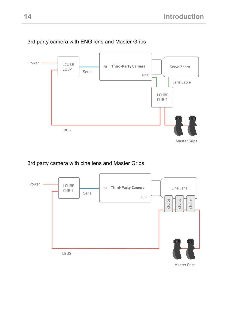

#### 3rd party camera with ENG lens and Master Grips

#### 3rd party camera with cine lens and Master Grips

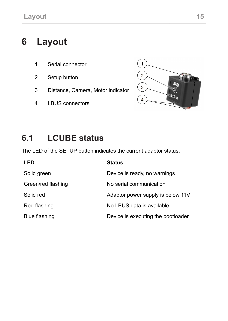# <span id="page-14-0"></span>**6 Layout**

- 1 Serial connector
- 2 Setup button
- 3 Distance, Camera, Motor indicator
- 4 LBUS connectors



# <span id="page-14-1"></span>**6.1 LCUBE status**

The LED of the SETUP button indicates the current adaptor status.

| LED                | <b>Status</b>                      |
|--------------------|------------------------------------|
| Solid green        | Device is ready, no warnings       |
| Green/red flashing | No serial communication            |
| Solid red          | Adaptor power supply is below 11V  |
| Red flashing       | No LBUS data is available          |
| Blue flashing      | Device is executing the bootloader |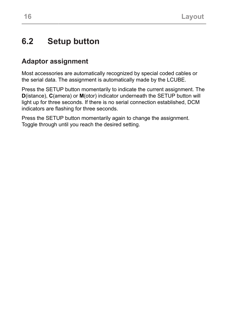#### <span id="page-15-0"></span>**6.2 Setup button**

#### **Adaptor assignment**

Most accessories are automatically recognized by special coded cables or the serial data. The assignment is automatically made by the LCUBE.

Press the SETUP button momentarily to indicate the current assignment. The **D**(istance), **C**(amera) or **M**(otor) indicator underneath the SETUP button will light up for three seconds. If there is no serial connection established, DCM indicators are flashing for three seconds.

Press the SETUP button momentarily again to change the assignment. Toggle through until you reach the desired setting.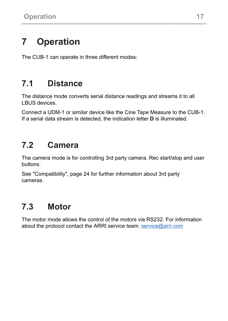# <span id="page-16-0"></span>**7 Operation**

<span id="page-16-1"></span>The CUB-1 can operate in three different modes:

# **7.1 Distance**

The distance mode converts serial distance readings and streams it to all LBUS devices.

<span id="page-16-2"></span>Connect a UDM-1 or similar device like the Cine Tape Measure to the CUB-1. If a serial data stream is detected, the indication letter **D** is illuminated.

# **7.2 Camera**

The camera mode is for controlling 3rd party camera. Rec start/stop and user buttons.

<span id="page-16-3"></span>[See "Compatibility", page 24](#page-23-0) for further information about 3rd party cameras.

# **7.3 Motor**

The motor mode allows the control of the motors via RS232. For information about the protocol contact the ARRI service team. [service@arri.com](mailto:service@arri.com)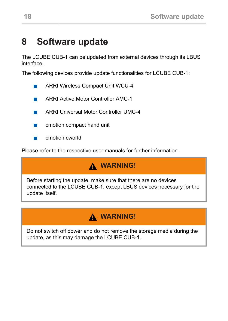# <span id="page-17-0"></span>**8 Software update**

The LCUBE CUB-1 can be updated from external devices through its LBUS interface.

The following devices provide update functionalities for LCUBE CUB-1:

- ARRI Wireless Compact Unit WCU-4  $\overline{\phantom{a}}$
- ARRI Active Motor Controller AMC-1 **T**
- ARRI Universal Motor Controller UMC-4
- $\mathcal{L}_{\mathcal{A}}$ cmotion compact hand unit
- cmotion cworld

Please refer to the respective user manuals for further information.

#### **WARNING!**

Before starting the update, make sure that there are no devices connected to the LCUBE CUB-1, except LBUS devices necessary for the update itself.

### **WARNING!**

Do not switch off power and do not remove the storage media during the update, as this may damage the LCUBE CUB-1.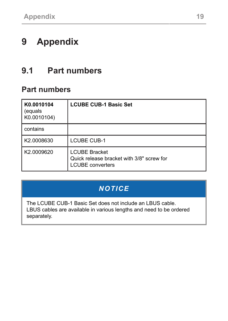# <span id="page-18-1"></span><span id="page-18-0"></span>**9 Appendix**

# **9.1 Part numbers**

#### **Part numbers**

| K0.0010104<br>(equals<br>K0.0010104) | <b>LCUBE CUB-1 Basic Set</b>                                                                 |
|--------------------------------------|----------------------------------------------------------------------------------------------|
| contains                             |                                                                                              |
| K2.0008630                           | <b>LCUBE CUB-1</b>                                                                           |
| K2.0009620                           | <b>LCUBE Bracket</b><br>Quick release bracket with 3/8" screw for<br><b>LCUBE</b> converters |

### *NOTICE*

The LCUBE CUB-1 Basic Set does not include an LBUS cable. LBUS cables are available in various lengths and need to be ordered separately.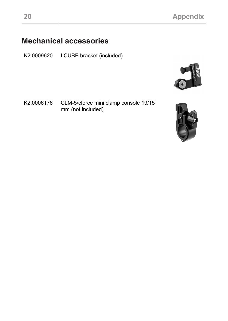### **Mechanical accessories**

K2.0009620 LCUBE bracket (included)



K2.0006176 CLM-5/cforce mini clamp console 19/15 mm (not included)

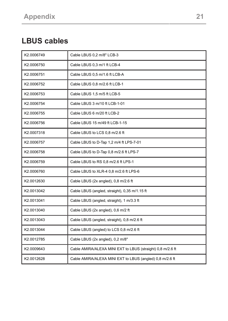# **LBUS cables**

| K2.0006749 | Cable LBUS 0,2 m/8" LCB-3                                  |
|------------|------------------------------------------------------------|
| K2.0006750 | Cable LBUS 0,3 m/1 ft LCB-4                                |
| K2.0006751 | Cable LBUS 0.5 m/1.6 ft LCB-A                              |
| K2.0006752 | Cable LBUS 0,8 m/2.6 ft LCB-1                              |
| K2.0006753 | Cable LBUS 1,5 m/5 ft LCB-5                                |
| K2.0006754 | Cable LBUS 3 m/10 ft LCB-1-01                              |
| K2.0006755 | Cable LBUS 6 m/20 ft LCB-2                                 |
| K2.0006756 | Cable LBUS 15 m/49 ft LCB-1-15                             |
| K2.0007318 | Cable LBUS to LCS 0,8 m/2.6 ft                             |
| K2.0006757 | Cable LBUS to D-Tap 1,2 m/4 ft LPS-7-01                    |
| K2.0006758 | Cable LBUS to D-Tap 0,8 m/2.6 ft LPS-7                     |
| K2.0006759 | Cable LBUS to RS 0,8 m/2.6 ft LPS-1                        |
| K2.0006760 | Cable LBUS to XLR-4 0.8 m/2.6 ft LPS-6                     |
| K2.0012630 | Cable LBUS (2x angled), 0,8 m/2.6 ft                       |
| K2.0013042 | Cable LBUS (angled, straight), 0,35 m/1.15 ft              |
| K2.0013041 | Cable LBUS (angled, straight), 1 m/3.3 ft                  |
| K2.0013040 | Cable LBUS (2x angled), 0,6 m/2 ft                         |
| K2.0013043 | Cable LBUS (angled, straight), 0,8 m/2.6 ft                |
| K2.0013044 | Cable LBUS (angled) to LCS 0,8 m/2.6 ft                    |
| K2.0012785 | Cable LBUS (2x angled), 0,2 m/8"                           |
| K2.0009643 | Cable AMIRA/ALEXA MINI EXT to LBUS (straight) 0,8 m/2.6 ft |
| K2.0012628 | Cable AMIRA/ALEXA MINI EXT to LBUS (angled) 0,8 m/2.6 ft   |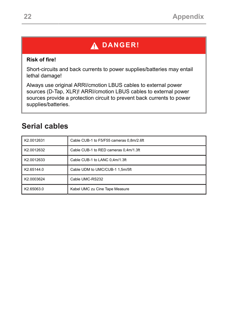# **DANGER!**

#### **Risk of fire!**

Short-circuits and back currents to power supplies/batteries may entail lethal damage!

Always use original ARRI/cmotion LBUS cables to external power sources (D-Tap, XLR)! ARRI/cmotion LBUS cables to external power sources provide a protection circuit to prevent back currents to power supplies/batteries.

#### **Serial cables**

| K2.0012631 | Cable CUB-1 to F5/F55 cameras 0.8m/2.6ft |
|------------|------------------------------------------|
| K2.0012632 | Cable CUB-1 to RED cameras 0.4m/1.3ft    |
| K2.0012633 | Cable CUB-1 to LANC 0.4m/1.3ft           |
| K2.65144.0 | Cable UDM to UMC/CUB-1 1.5m/5ft          |
| K2.0003624 | Cable UMC-RS232                          |
| K2.65063.0 | Kabel UMC zu Cine Tape Measure           |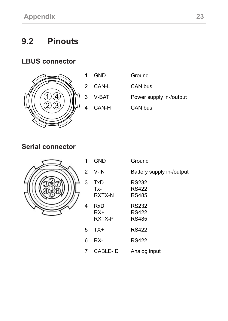# <span id="page-22-0"></span>**9.2 Pinouts**

#### **LBUS connector**



| 1 GND   | Ground                  |
|---------|-------------------------|
| 2 CAN-L | CAN bus                 |
| 3 V-BAT | Power supply in-/output |
| 4 CAN-H | CAN bus                 |

#### **Serial connector**



 $\overline{4}$ 

| 1              | <b>GND</b>             | Ground                                       |
|----------------|------------------------|----------------------------------------------|
| $\overline{2}$ | V-IN                   | Battery supply in-/output                    |
| 3              | TxD<br>Tx-<br>RXTX-N   | <b>RS232</b><br><b>RS422</b><br><b>RS485</b> |
| 4              | RxD<br>$RX+$<br>RXTX-P | RS232<br><b>RS422</b><br><b>RS485</b>        |
| 5              | $TX+$                  | <b>RS422</b>                                 |
| 6              | RX-                    | <b>RS422</b>                                 |
| 7              | CABLE-ID               | Analog input                                 |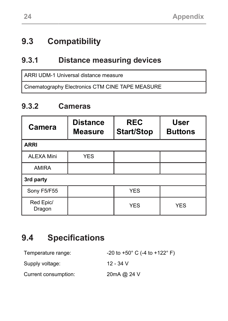### <span id="page-23-0"></span>**9.3 Compatibility**

#### <span id="page-23-1"></span>**9.3.1 Distance measuring devices**

ARRI UDM-1 Universal distance measure

Cinematography Electronics CTM CINE TAPE MEASURE

#### <span id="page-23-2"></span>**9.3.2 Cameras**

| Camera              | <b>Distance</b><br><b>Measure</b> | <b>REC</b><br><b>Start/Stop</b> | <b>User</b><br><b>Buttons</b> |  |
|---------------------|-----------------------------------|---------------------------------|-------------------------------|--|
| <b>ARRI</b>         |                                   |                                 |                               |  |
| <b>ALEXA Mini</b>   | <b>YES</b>                        |                                 |                               |  |
| <b>AMIRA</b>        |                                   |                                 |                               |  |
| 3rd party           |                                   |                                 |                               |  |
| Sony F5/F55         |                                   | <b>YES</b>                      |                               |  |
| Red Epic/<br>Dragon |                                   | <b>YES</b>                      | <b>YES</b>                    |  |

# <span id="page-23-3"></span>**9.4 Specifications**

| Temperature range:   | $-20$ to $+50^{\circ}$ C (-4 to $+122^{\circ}$ F) |
|----------------------|---------------------------------------------------|
| Supply voltage:      | 12 - 34 V                                         |
| Current consumption: | 20mA @ 24 V                                       |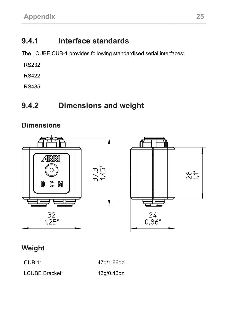# <span id="page-24-0"></span>**9.4.1 Interface standards**

The LCUBE CUB-1 provides following standardised serial interfaces:

RS232

RS422

RS485

# <span id="page-24-1"></span>**9.4.2 Dimensions and weight**

#### **Dimensions**





#### **Weight**

CUB-1: 47g/1.66oz

LCUBE Bracket: 13g/0.46oz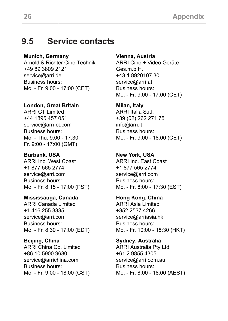#### <span id="page-25-0"></span>**9.5 Service contacts**

**Munich, Germany**

Arnold & Richter Cine Technik +49 89 3809 2121 service@arri.de Business hours: Mo. - Fr. 9:00 - 17:00 (CET)

**London, Great Britain**

ARRI CT Limited +44 1895 457 051 service@arri-ct.com Business hours: Mo. - Thu. 9:00 - 17:30 Fr. 9:00 - 17:00 (GMT)

**Burbank, USA** ARRI Inc. West Coast +1 877 565 2774 service@arri.com Business hours: Mo. - Fr. 8:15 - 17:00 (PST)

**Mississauga, Canada** ARRI Canada Limited +1 416 255 3335 service@arri.com Business hours:

Mo. - Fr. 8:30 - 17:00 (EDT)

**Beijing, China** ARRI China Co. Limited +86 10 5900 9680 service@arrichina.com Business hours: Mo. - Fr. 9:00 - 18:00 (CST) **Vienna, Austria**

ARRI Cine + Video Geräte Ges m b H +43 1 8920107 30 service@arri.at Business hours: Mo. - Fr. 9:00 - 17:00 (CET)

**Milan, Italy** ARRI Italia Srl. +39 (02) 262 271 75 info@arri.it Business hours: Mo. - Fr. 9:00 - 18:00 (CET)

**New York, USA** ARRI Inc. East Coast +1 877 565 2774 service@arri.com Business hours: Mo. - Fr. 8:00 - 17:30 (EST)

**Hong Kong, China** ARRI Asia Limited +852 2537 4266 service@arriasia.hk Business hours: Mo. - Fr. 10:00 - 18:30 (HKT)

**Sydney, Australia** ARRI Australia Pty Ltd +61 2 9855 4305 service@arri.com.au Business hours: Mo. - Fr. 8:00 - 18:00 (AEST)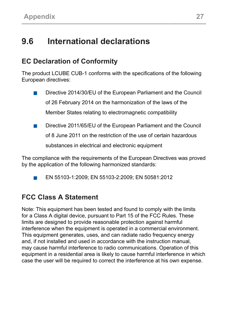# <span id="page-26-0"></span>**9.6 International declarations**

#### **EC Declaration of Conformity**

The product LCUBE CUB-1 conforms with the specifications of the following European directives:

- Directive 2014/30/EU of the European Parliament and the Council **T** of 26 February 2014 on the harmonization of the laws of the Member States relating to electromagnetic compatibility
- Directive 2011/65/EU of the European Parliament and the Council **The Second**

of 8 June 2011 on the restriction of the use of certain hazardous

substances in electrical and electronic equipment

The compliance with the requirements of the European Directives was proved by the application of the following harmonized standards:

EN 55103-1:2009; EN 55103-2:2009; EN 50581:2012 **T** 

#### **FCC Class A Statement**

Note: This equipment has been tested and found to comply with the limits for a Class A digital device, pursuant to Part 15 of the FCC Rules. These limits are designed to provide reasonable protection against harmful interference when the equipment is operated in a commercial environment. This equipment generates, uses, and can radiate radio frequency energy and, if not installed and used in accordance with the instruction manual, may cause harmful interference to radio communications. Operation of this equipment in a residential area is likely to cause harmful interference in which case the user will be required to correct the interference at his own expense.